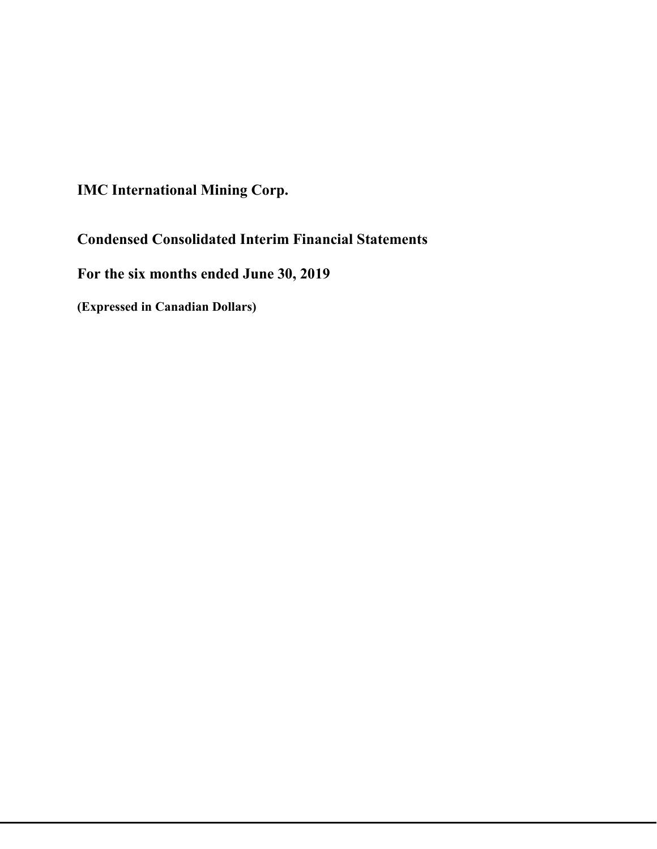**IMC International Mining Corp.**

**Condensed Consolidated Interim Financial Statements**

**For the six months ended June 30, 2019**

**(Expressed in Canadian Dollars)**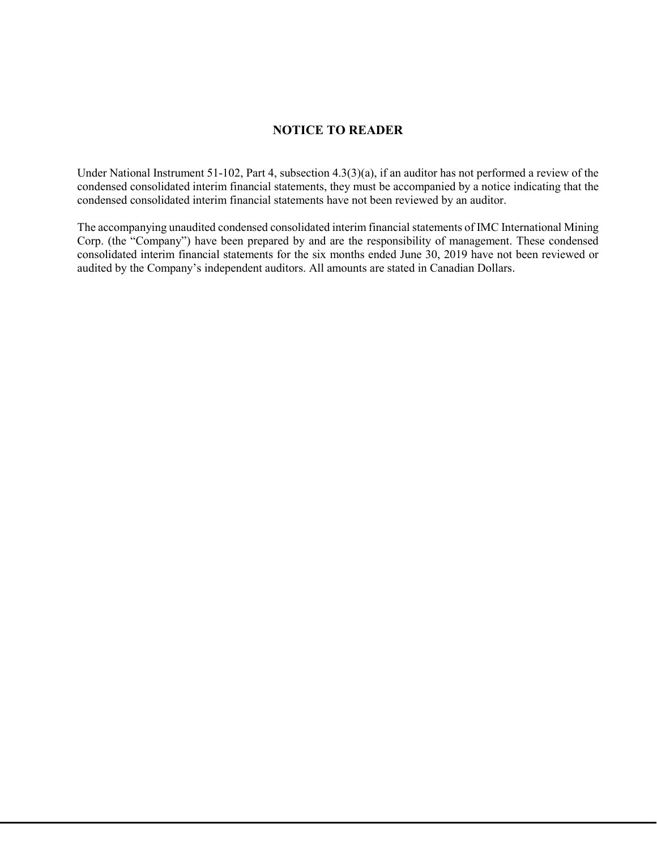## **NOTICE TO READER**

Under National Instrument 51-102, Part 4, subsection 4.3(3)(a), if an auditor has not performed a review of the condensed consolidated interim financial statements, they must be accompanied by a notice indicating that the condensed consolidated interim financial statements have not been reviewed by an auditor.

The accompanying unaudited condensed consolidated interim financial statements of IMC International Mining Corp. (the "Company") have been prepared by and are the responsibility of management. These condensed consolidated interim financial statements for the six months ended June 30, 2019 have not been reviewed or audited by the Company's independent auditors. All amounts are stated in Canadian Dollars.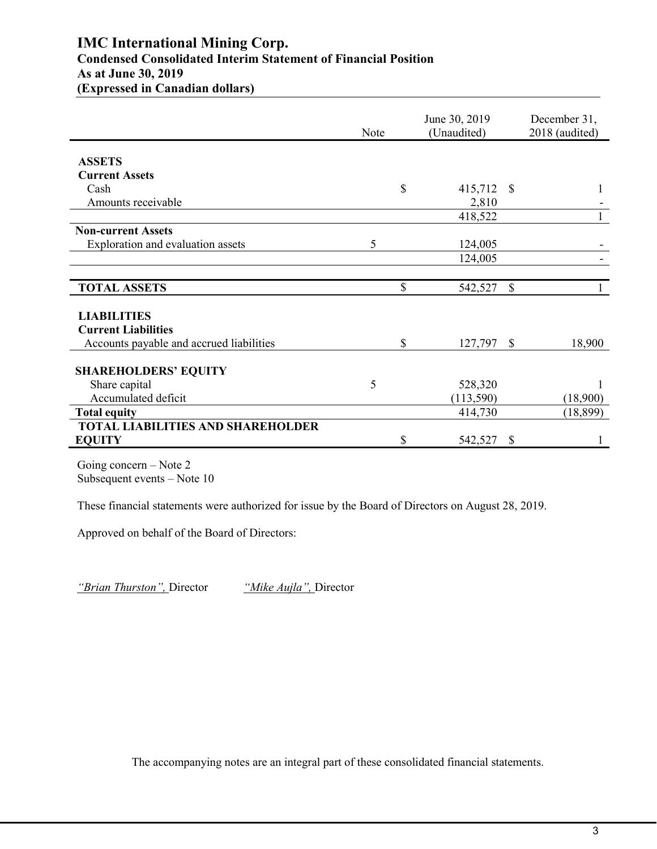## **IMC International Mining Corp. Condensed Consolidated Interim Statement of Financial Position As at June 30, 2019 (Expressed in Canadian dollars)**

|                                                  | Note | June 30, 2019<br>(Unaudited) |              | December 31,<br>2018 (audited) |
|--------------------------------------------------|------|------------------------------|--------------|--------------------------------|
|                                                  |      |                              |              |                                |
| <b>ASSETS</b>                                    |      |                              |              |                                |
| <b>Current Assets</b>                            |      |                              |              |                                |
| Cash                                             |      | \$<br>415,712 \$             |              |                                |
| Amounts receivable                               |      | 2,810                        |              |                                |
|                                                  |      | 418,522                      |              |                                |
| <b>Non-current Assets</b>                        |      |                              |              |                                |
| Exploration and evaluation assets                | 5    | 124,005                      |              |                                |
|                                                  |      | 124,005                      |              |                                |
|                                                  |      |                              |              |                                |
| <b>TOTAL ASSETS</b>                              |      | \$<br>542,527                | $\mathbb{S}$ |                                |
|                                                  |      |                              |              |                                |
| <b>LIABILITIES</b><br><b>Current Liabilities</b> |      |                              |              |                                |
| Accounts payable and accrued liabilities         |      | \$<br>127,797                | <sup>S</sup> | 18,900                         |
|                                                  |      |                              |              |                                |
| <b>SHAREHOLDERS' EQUITY</b>                      |      |                              |              |                                |
| Share capital                                    | 5    | 528,320                      |              |                                |
| Accumulated deficit                              |      | (113,590)                    |              | (18,900)                       |
| <b>Total equity</b>                              |      | 414,730                      |              | (18, 899)                      |
| <b>TOTAL LIABILITIES AND SHAREHOLDER</b>         |      |                              |              |                                |
| <b>EQUITY</b>                                    |      | \$<br>542,527                | \$           |                                |

Going concern – Note 2 Subsequent events – Note 10

These financial statements were authorized for issue by the Board of Directors on August 28, 2019.

Approved on behalf of the Board of Directors:

*"Brian Thurston",* Director *"Mike Aujla",* Director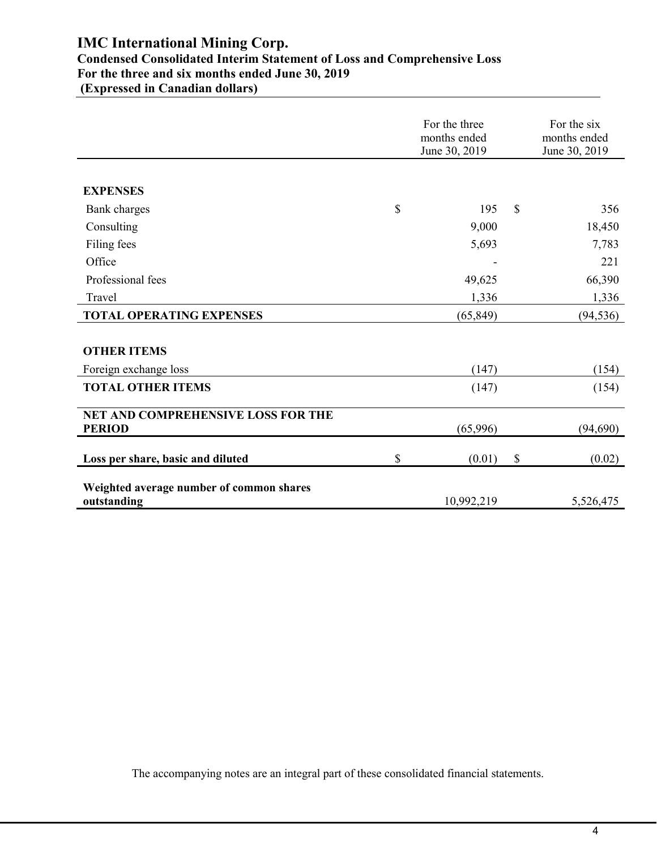# **IMC International Mining Corp.**

## **Condensed Consolidated Interim Statement of Loss and Comprehensive Loss For the three and six months ended June 30, 2019**

**(Expressed in Canadian dollars)**

|                                                         | For the three<br>months ended<br>June 30, 2019 |                           | For the six<br>months ended<br>June 30, 2019 |
|---------------------------------------------------------|------------------------------------------------|---------------------------|----------------------------------------------|
|                                                         |                                                |                           |                                              |
| <b>EXPENSES</b>                                         |                                                |                           |                                              |
| Bank charges                                            | \$<br>195                                      | \$                        | 356                                          |
| Consulting                                              | 9,000                                          |                           | 18,450                                       |
| Filing fees                                             | 5,693                                          |                           | 7,783                                        |
| Office                                                  |                                                |                           | 221                                          |
| Professional fees                                       | 49,625                                         |                           | 66,390                                       |
| Travel                                                  | 1,336                                          |                           | 1,336                                        |
| <b>TOTAL OPERATING EXPENSES</b>                         | (65, 849)                                      |                           | (94, 536)                                    |
|                                                         |                                                |                           |                                              |
| <b>OTHER ITEMS</b>                                      |                                                |                           |                                              |
| Foreign exchange loss                                   | (147)                                          |                           | (154)                                        |
| <b>TOTAL OTHER ITEMS</b>                                | (147)                                          |                           | (154)                                        |
| NET AND COMPREHENSIVE LOSS FOR THE                      |                                                |                           |                                              |
| <b>PERIOD</b>                                           | (65,996)                                       |                           | (94, 690)                                    |
| Loss per share, basic and diluted                       | \$<br>(0.01)                                   | $\boldsymbol{\mathsf{S}}$ | (0.02)                                       |
| Weighted average number of common shares<br>outstanding | 10,992,219                                     |                           | 5,526,475                                    |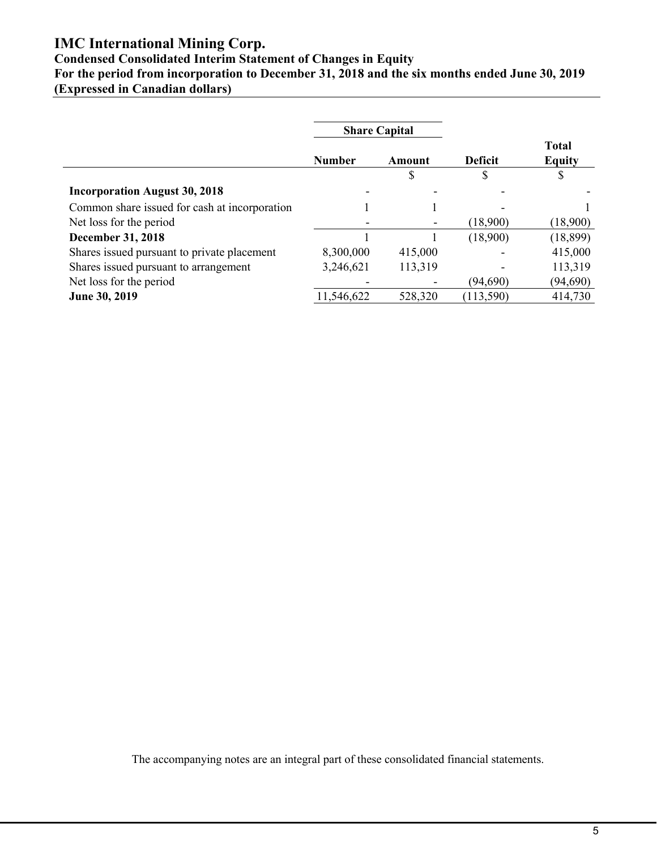## **IMC International Mining Corp.**

## **Condensed Consolidated Interim Statement of Changes in Equity**

**For the period from incorporation to December 31, 2018 and the six months ended June 30, 2019 (Expressed in Canadian dollars)**

|                                               | <b>Share Capital</b><br><b>Number</b><br>Amount |                          |                |                               |
|-----------------------------------------------|-------------------------------------------------|--------------------------|----------------|-------------------------------|
|                                               |                                                 |                          | <b>Deficit</b> | <b>Total</b><br><b>Equity</b> |
|                                               |                                                 | D                        | J              | \$                            |
| <b>Incorporation August 30, 2018</b>          |                                                 |                          |                |                               |
| Common share issued for cash at incorporation |                                                 |                          |                |                               |
| Net loss for the period                       |                                                 | -                        | (18,900)       | (18,900)                      |
| <b>December 31, 2018</b>                      |                                                 |                          | (18,900)       | (18, 899)                     |
| Shares issued pursuant to private placement   | 8,300,000                                       | 415,000                  |                | 415,000                       |
| Shares issued pursuant to arrangement         | 3,246,621                                       | 113,319                  |                | 113,319                       |
| Net loss for the period                       |                                                 | $\overline{\phantom{a}}$ | (94, 690)      | (94, 690)                     |
| June 30, 2019                                 | 11,546,622                                      | 528,320                  | (113, 590)     | 414,730                       |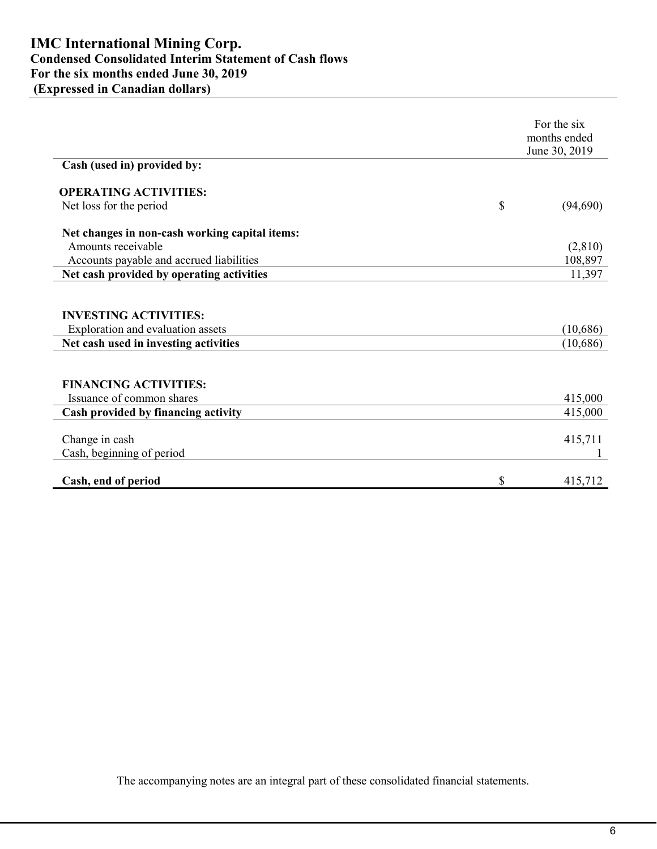|                                                                   | For the six<br>months ended<br>June 30, 2019 |
|-------------------------------------------------------------------|----------------------------------------------|
| Cash (used in) provided by:                                       |                                              |
| <b>OPERATING ACTIVITIES:</b>                                      |                                              |
| Net loss for the period                                           | \$<br>(94,690)                               |
| Net changes in non-cash working capital items:                    |                                              |
| Amounts receivable                                                | (2,810)                                      |
| Accounts payable and accrued liabilities                          | 108,897                                      |
| Net cash provided by operating activities                         | 11,397                                       |
| <b>INVESTING ACTIVITIES:</b><br>Exploration and evaluation assets | (10,686)                                     |
| Net cash used in investing activities                             | (10, 686)                                    |
|                                                                   |                                              |
| <b>FINANCING ACTIVITIES:</b>                                      |                                              |
| Issuance of common shares                                         | 415,000                                      |
| Cash provided by financing activity                               | 415,000                                      |
| Change in cash                                                    | 415,711                                      |
| Cash, beginning of period                                         |                                              |
|                                                                   |                                              |
| Cash, end of period                                               | \$<br>415,712                                |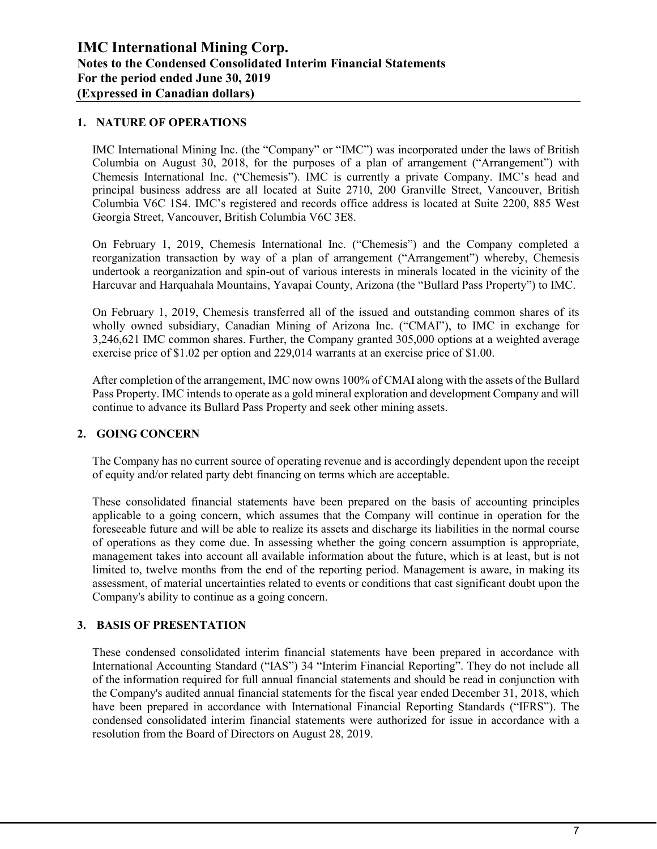#### **1. NATURE OF OPERATIONS**

IMC International Mining Inc. (the "Company" or "IMC") was incorporated under the laws of British Columbia on August 30, 2018, for the purposes of a plan of arrangement ("Arrangement") with Chemesis International Inc. ("Chemesis"). IMC is currently a private Company. IMC's head and principal business address are all located at Suite 2710, 200 Granville Street, Vancouver, British Columbia V6C 1S4. IMC's registered and records office address is located at Suite 2200, 885 West Georgia Street, Vancouver, British Columbia V6C 3E8.

On February 1, 2019, Chemesis International Inc. ("Chemesis") and the Company completed a reorganization transaction by way of a plan of arrangement ("Arrangement") whereby, Chemesis undertook a reorganization and spin-out of various interests in minerals located in the vicinity of the Harcuvar and Harquahala Mountains, Yavapai County, Arizona (the "Bullard Pass Property") to IMC.

On February 1, 2019, Chemesis transferred all of the issued and outstanding common shares of its wholly owned subsidiary, Canadian Mining of Arizona Inc. ("CMAI"), to IMC in exchange for 3,246,621 IMC common shares. Further, the Company granted 305,000 options at a weighted average exercise price of \$1.02 per option and 229,014 warrants at an exercise price of \$1.00.

After completion of the arrangement, IMC now owns 100% of CMAI along with the assets of the Bullard Pass Property. IMC intends to operate as a gold mineral exploration and development Company and will continue to advance its Bullard Pass Property and seek other mining assets.

## **2. GOING CONCERN**

The Company has no current source of operating revenue and is accordingly dependent upon the receipt of equity and/or related party debt financing on terms which are acceptable.

These consolidated financial statements have been prepared on the basis of accounting principles applicable to a going concern, which assumes that the Company will continue in operation for the foreseeable future and will be able to realize its assets and discharge its liabilities in the normal course of operations as they come due. In assessing whether the going concern assumption is appropriate, management takes into account all available information about the future, which is at least, but is not limited to, twelve months from the end of the reporting period. Management is aware, in making its assessment, of material uncertainties related to events or conditions that cast significant doubt upon the Company's ability to continue as a going concern.

## **3. BASIS OF PRESENTATION**

These condensed consolidated interim financial statements have been prepared in accordance with International Accounting Standard ("IAS") 34 "Interim Financial Reporting". They do not include all of the information required for full annual financial statements and should be read in conjunction with the Company's audited annual financial statements for the fiscal year ended December 31, 2018, which have been prepared in accordance with International Financial Reporting Standards ("IFRS"). The condensed consolidated interim financial statements were authorized for issue in accordance with a resolution from the Board of Directors on August 28, 2019.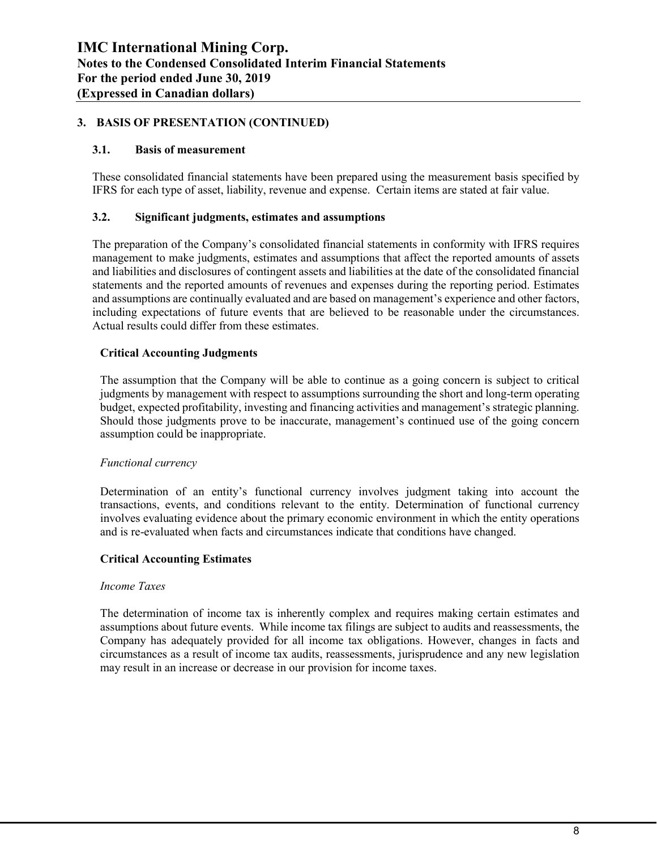## **3. BASIS OF PRESENTATION (CONTINUED)**

#### **3.1. Basis of measurement**

These consolidated financial statements have been prepared using the measurement basis specified by IFRS for each type of asset, liability, revenue and expense. Certain items are stated at fair value.

#### **3.2. Significant judgments, estimates and assumptions**

The preparation of the Company's consolidated financial statements in conformity with IFRS requires management to make judgments, estimates and assumptions that affect the reported amounts of assets and liabilities and disclosures of contingent assets and liabilities at the date of the consolidated financial statements and the reported amounts of revenues and expenses during the reporting period. Estimates and assumptions are continually evaluated and are based on management's experience and other factors, including expectations of future events that are believed to be reasonable under the circumstances. Actual results could differ from these estimates.

#### **Critical Accounting Judgments**

The assumption that the Company will be able to continue as a going concern is subject to critical judgments by management with respect to assumptions surrounding the short and long-term operating budget, expected profitability, investing and financing activities and management's strategic planning. Should those judgments prove to be inaccurate, management's continued use of the going concern assumption could be inappropriate.

#### *Functional currency*

Determination of an entity's functional currency involves judgment taking into account the transactions, events, and conditions relevant to the entity. Determination of functional currency involves evaluating evidence about the primary economic environment in which the entity operations and is re-evaluated when facts and circumstances indicate that conditions have changed.

#### **Critical Accounting Estimates**

#### *Income Taxes*

The determination of income tax is inherently complex and requires making certain estimates and assumptions about future events. While income tax filings are subject to audits and reassessments, the Company has adequately provided for all income tax obligations. However, changes in facts and circumstances as a result of income tax audits, reassessments, jurisprudence and any new legislation may result in an increase or decrease in our provision for income taxes.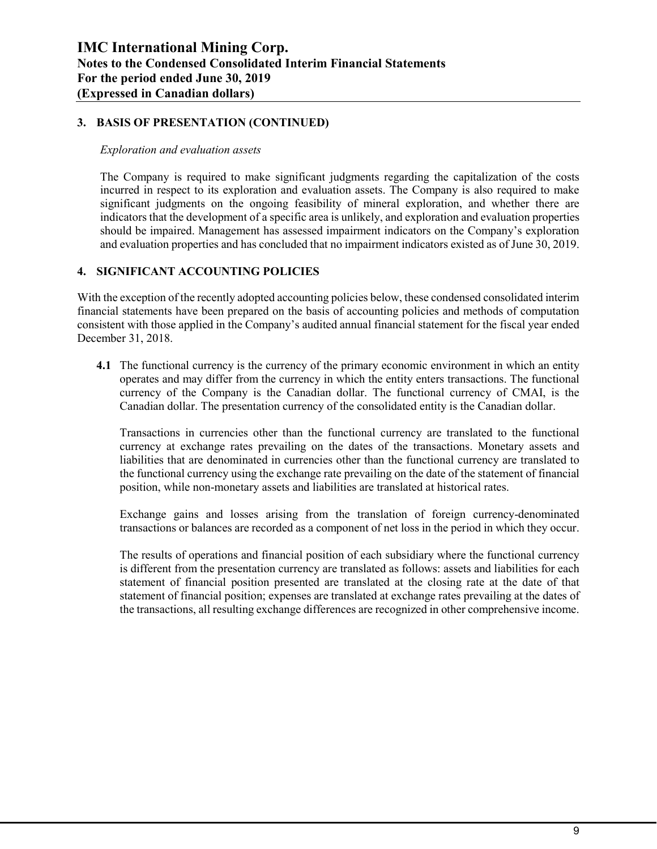#### **3. BASIS OF PRESENTATION (CONTINUED)**

#### *Exploration and evaluation assets*

The Company is required to make significant judgments regarding the capitalization of the costs incurred in respect to its exploration and evaluation assets. The Company is also required to make significant judgments on the ongoing feasibility of mineral exploration, and whether there are indicators that the development of a specific area is unlikely, and exploration and evaluation properties should be impaired. Management has assessed impairment indicators on the Company's exploration and evaluation properties and has concluded that no impairment indicators existed as of June 30, 2019.

#### **4. SIGNIFICANT ACCOUNTING POLICIES**

With the exception of the recently adopted accounting policies below, these condensed consolidated interim financial statements have been prepared on the basis of accounting policies and methods of computation consistent with those applied in the Company's audited annual financial statement for the fiscal year ended December 31, 2018.

**4.1** The functional currency is the currency of the primary economic environment in which an entity operates and may differ from the currency in which the entity enters transactions. The functional currency of the Company is the Canadian dollar. The functional currency of CMAI, is the Canadian dollar. The presentation currency of the consolidated entity is the Canadian dollar.

Transactions in currencies other than the functional currency are translated to the functional currency at exchange rates prevailing on the dates of the transactions. Monetary assets and liabilities that are denominated in currencies other than the functional currency are translated to the functional currency using the exchange rate prevailing on the date of the statement of financial position, while non-monetary assets and liabilities are translated at historical rates.

Exchange gains and losses arising from the translation of foreign currency-denominated transactions or balances are recorded as a component of net loss in the period in which they occur.

The results of operations and financial position of each subsidiary where the functional currency is different from the presentation currency are translated as follows: assets and liabilities for each statement of financial position presented are translated at the closing rate at the date of that statement of financial position; expenses are translated at exchange rates prevailing at the dates of the transactions, all resulting exchange differences are recognized in other comprehensive income.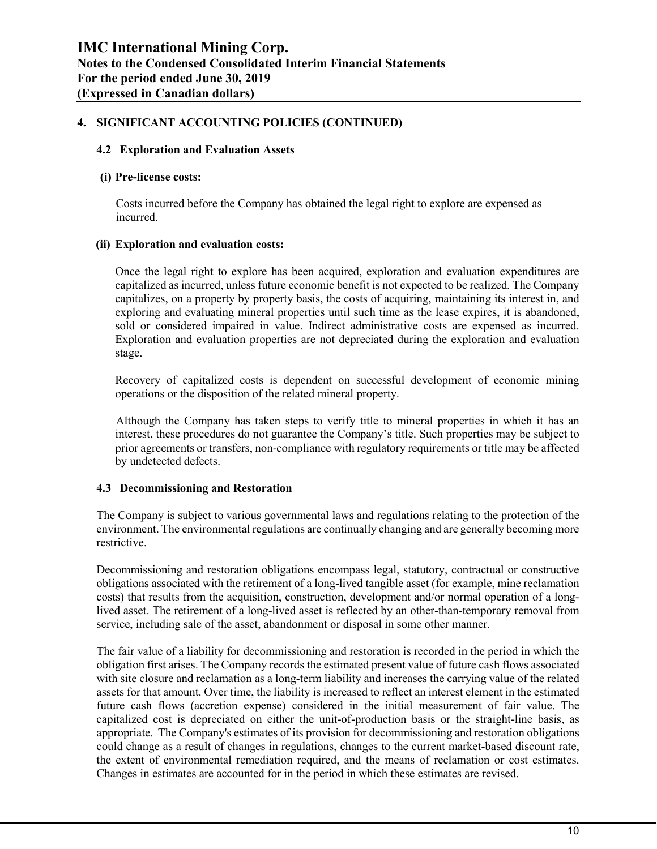## **4. SIGNIFICANT ACCOUNTING POLICIES (CONTINUED)**

#### **4.2 Exploration and Evaluation Assets**

#### **(i) Pre-license costs:**

Costs incurred before the Company has obtained the legal right to explore are expensed as incurred.

#### **(ii) Exploration and evaluation costs:**

Once the legal right to explore has been acquired, exploration and evaluation expenditures are capitalized as incurred, unless future economic benefit is not expected to be realized. The Company capitalizes, on a property by property basis, the costs of acquiring, maintaining its interest in, and exploring and evaluating mineral properties until such time as the lease expires, it is abandoned, sold or considered impaired in value. Indirect administrative costs are expensed as incurred. Exploration and evaluation properties are not depreciated during the exploration and evaluation stage.

Recovery of capitalized costs is dependent on successful development of economic mining operations or the disposition of the related mineral property.

Although the Company has taken steps to verify title to mineral properties in which it has an interest, these procedures do not guarantee the Company's title. Such properties may be subject to prior agreements or transfers, non-compliance with regulatory requirements or title may be affected by undetected defects.

#### **4.3 Decommissioning and Restoration**

The Company is subject to various governmental laws and regulations relating to the protection of the environment. The environmental regulations are continually changing and are generally becoming more restrictive.

Decommissioning and restoration obligations encompass legal, statutory, contractual or constructive obligations associated with the retirement of a long-lived tangible asset (for example, mine reclamation costs) that results from the acquisition, construction, development and/or normal operation of a longlived asset. The retirement of a long-lived asset is reflected by an other-than-temporary removal from service, including sale of the asset, abandonment or disposal in some other manner.

The fair value of a liability for decommissioning and restoration is recorded in the period in which the obligation first arises. The Company records the estimated present value of future cash flows associated with site closure and reclamation as a long-term liability and increases the carrying value of the related assets for that amount. Over time, the liability is increased to reflect an interest element in the estimated future cash flows (accretion expense) considered in the initial measurement of fair value. The capitalized cost is depreciated on either the unit-of-production basis or the straight-line basis, as appropriate. The Company's estimates of its provision for decommissioning and restoration obligations could change as a result of changes in regulations, changes to the current market-based discount rate, the extent of environmental remediation required, and the means of reclamation or cost estimates. Changes in estimates are accounted for in the period in which these estimates are revised.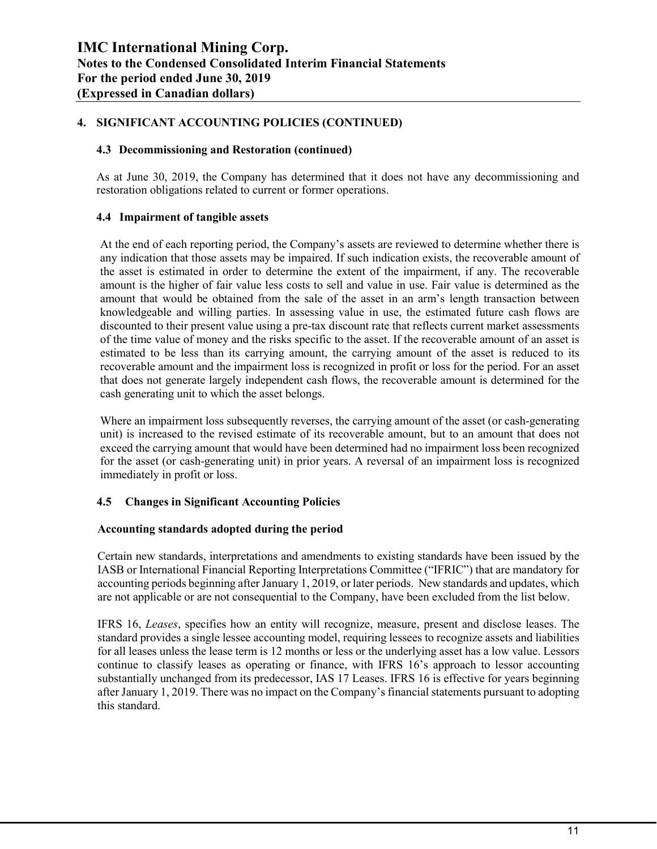#### **4. SIGNIFICANT ACCOUNTING POLICIES (CONTINUED)**

#### **4.3 Decommissioning and Restoration (continued)**

As at June 30, 2019, the Company has determined that it does not have any decommissioning and restoration obligations related to current or former operations.

#### **4.4 Impairment of tangible assets**

At the end of each reporting period, the Company's assets are reviewed to determine whether there is any indication that those assets may be impaired. If such indication exists, the recoverable amount of the asset is estimated in order to determine the extent of the impairment, if any. The recoverable amount is the higher of fair value less costs to sell and value in use. Fair value is determined as the amount that would be obtained from the sale of the asset in an arm's length transaction between knowledgeable and willing parties. In assessing value in use, the estimated future cash flows are discounted to their present value using a pre-tax discount rate that reflects current market assessments of the time value of money and the risks specific to the asset. If the recoverable amount of an asset is estimated to be less than its carrying amount, the carrying amount of the asset is reduced to its recoverable amount and the impairment loss is recognized in profit or loss for the period. For an asset that does not generate largely independent cash flows, the recoverable amount is determined for the cash generating unit to which the asset belongs.

Where an impairment loss subsequently reverses, the carrying amount of the asset (or cash-generating unit) is increased to the revised estimate of its recoverable amount, but to an amount that does not exceed the carrying amount that would have been determined had no impairment loss been recognized for the asset (or cash-generating unit) in prior years. A reversal of an impairment loss is recognized immediately in profit or loss.

#### **4.5 Changes in Significant Accounting Policies**

#### **Accounting standards adopted during the period**

Certain new standards, interpretations and amendments to existing standards have been issued by the IASB or International Financial Reporting Interpretations Committee ("IFRIC") that are mandatory for accounting periods beginning after January 1, 2019, or later periods. New standards and updates, which are not applicable or are not consequential to the Company, have been excluded from the list below.

IFRS 16, *Leases*, specifies how an entity will recognize, measure, present and disclose leases. The standard provides a single lessee accounting model, requiring lessees to recognize assets and liabilities for all leases unless the lease term is 12 months or less or the underlying asset has a low value. Lessors continue to classify leases as operating or finance, with IFRS 16's approach to lessor accounting substantially unchanged from its predecessor, IAS 17 Leases. IFRS 16 is effective for years beginning after January 1, 2019. There was no impact on the Company's financial statements pursuant to adopting this standard.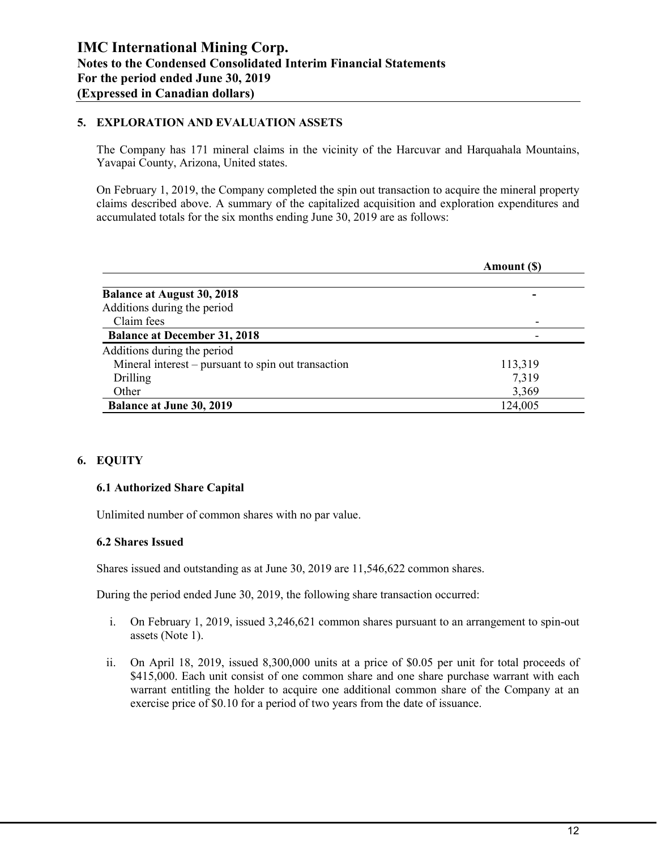#### **5. EXPLORATION AND EVALUATION ASSETS**

The Company has 171 mineral claims in the vicinity of the Harcuvar and Harquahala Mountains, Yavapai County, Arizona, United states.

On February 1, 2019, the Company completed the spin out transaction to acquire the mineral property claims described above. A summary of the capitalized acquisition and exploration expenditures and accumulated totals for the six months ending June 30, 2019 are as follows:

|                                                     | Amount (S) |
|-----------------------------------------------------|------------|
| <b>Balance at August 30, 2018</b>                   |            |
| Additions during the period                         |            |
| Claim fees                                          |            |
| <b>Balance at December 31, 2018</b>                 |            |
| Additions during the period                         |            |
| Mineral interest – pursuant to spin out transaction | 113,319    |
| Drilling                                            | 7,319      |
| Other                                               | 3,369      |
| <b>Balance at June 30, 2019</b>                     | 124,005    |

## **6. EQUITY**

## **6.1 Authorized Share Capital**

Unlimited number of common shares with no par value.

#### **6.2 Shares Issued**

Shares issued and outstanding as at June 30, 2019 are 11,546,622 common shares.

During the period ended June 30, 2019, the following share transaction occurred:

- i. On February 1, 2019, issued 3,246,621 common shares pursuant to an arrangement to spin-out assets (Note 1).
- ii. On April 18, 2019, issued 8,300,000 units at a price of \$0.05 per unit for total proceeds of \$415,000. Each unit consist of one common share and one share purchase warrant with each warrant entitling the holder to acquire one additional common share of the Company at an exercise price of \$0.10 for a period of two years from the date of issuance.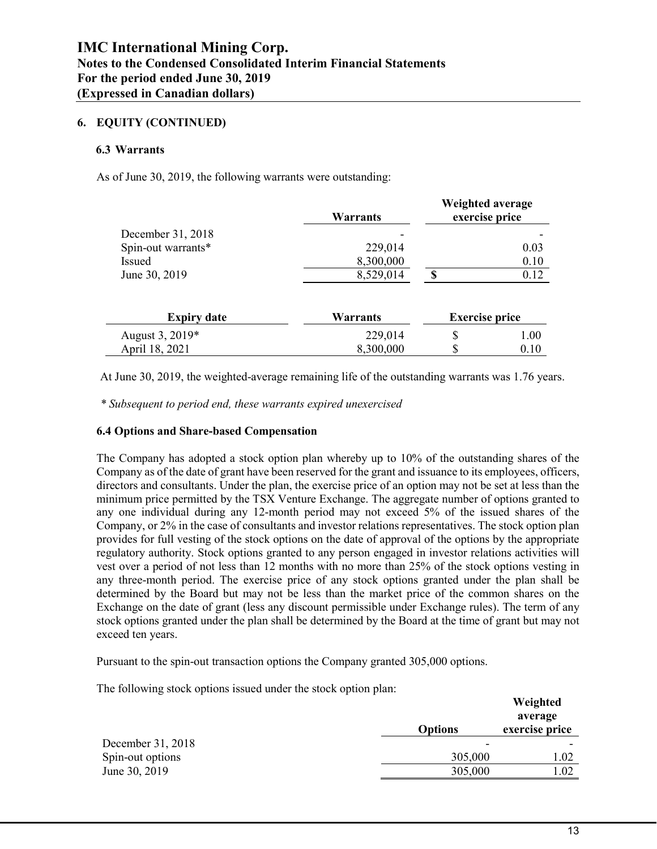## **6. EQUITY (CONTINUED)**

#### **6.3 Warrants**

As of June 30, 2019, the following warrants were outstanding:

|                    | <b>Warrants</b> | Weighted average<br>exercise price |      |
|--------------------|-----------------|------------------------------------|------|
| December 31, 2018  |                 |                                    |      |
| Spin-out warrants* | 229,014         |                                    | 0.03 |
| Issued             | 8,300,000       |                                    | 0.10 |
| June 30, 2019      | 8,529,014       | S                                  | 0.12 |
| <b>Expiry date</b> | Warrants        | <b>Exercise price</b>              |      |
| August 3, 2019*    | 229,014         | \$                                 | 1.00 |
| April 18, 2021     | 8,300,000       | \$                                 | 0.10 |

At June 30, 2019, the weighted-average remaining life of the outstanding warrants was 1.76 years.

*\* Subsequent to period end, these warrants expired unexercised*

#### **6.4 Options and Share-based Compensation**

The Company has adopted a stock option plan whereby up to 10% of the outstanding shares of the Company as of the date of grant have been reserved for the grant and issuance to its employees, officers, directors and consultants. Under the plan, the exercise price of an option may not be set at less than the minimum price permitted by the TSX Venture Exchange. The aggregate number of options granted to any one individual during any 12-month period may not exceed 5% of the issued shares of the Company, or 2% in the case of consultants and investor relations representatives. The stock option plan provides for full vesting of the stock options on the date of approval of the options by the appropriate regulatory authority. Stock options granted to any person engaged in investor relations activities will vest over a period of not less than 12 months with no more than 25% of the stock options vesting in any three-month period. The exercise price of any stock options granted under the plan shall be determined by the Board but may not be less than the market price of the common shares on the Exchange on the date of grant (less any discount permissible under Exchange rules). The term of any stock options granted under the plan shall be determined by the Board at the time of grant but may not exceed ten years.

Pursuant to the spin-out transaction options the Company granted 305,000 options.

The following stock options issued under the stock option plan:

|                   |                | Weighted<br>average |
|-------------------|----------------|---------------------|
|                   | <b>Options</b> | exercise price      |
| December 31, 2018 | ۰              |                     |
| Spin-out options  | 305,000        | 1.02                |
| June 30, 2019     | 305,000        | 1.02                |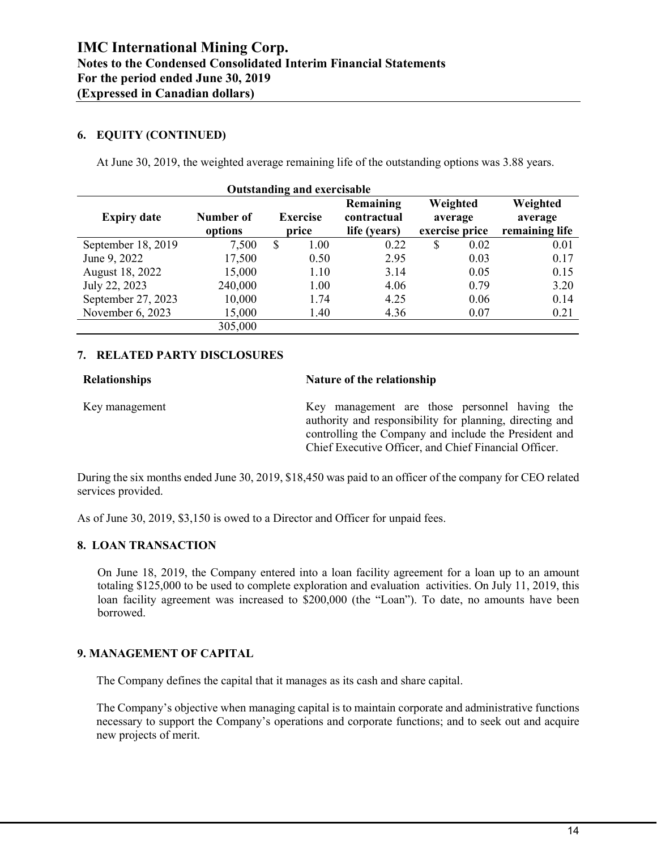## **6. EQUITY (CONTINUED)**

At June 30, 2019, the weighted average remaining life of the outstanding options was 3.88 years.

| <b>Outstanding and exercisable</b> |                      |                                                                      |      |                                       |    |                                       |      |
|------------------------------------|----------------------|----------------------------------------------------------------------|------|---------------------------------------|----|---------------------------------------|------|
| <b>Expiry date</b>                 | Number of<br>options | Remaining<br><b>Exercise</b><br>contractual<br>life (years)<br>price |      | Weighted<br>average<br>exercise price |    | Weighted<br>average<br>remaining life |      |
| September 18, 2019                 | 7,500                | \$                                                                   | 1.00 | 0.22                                  | \$ | 0.02                                  | 0.01 |
| June 9, 2022                       | 17,500               |                                                                      | 0.50 | 2.95                                  |    | 0.03                                  | 0.17 |
| August 18, 2022                    | 15,000               |                                                                      | 1.10 | 3.14                                  |    | 0.05                                  | 0.15 |
| July 22, 2023                      | 240,000              |                                                                      | 1.00 | 4.06                                  |    | 0.79                                  | 3.20 |
| September 27, 2023                 | 10,000               |                                                                      | 1.74 | 4.25                                  |    | 0.06                                  | 0.14 |
| November 6, 2023                   | 15,000               |                                                                      | 1.40 | 4.36                                  |    | 0.07                                  | 0.21 |
|                                    | 305,000              |                                                                      |      |                                       |    |                                       |      |

#### **7. RELATED PARTY DISCLOSURES**

| <b>Relationships</b> |  |
|----------------------|--|
|----------------------|--|

#### **Relationships Nature of the relationship**

Key management Key management are those personnel having the authority and responsibility for planning, directing and controlling the Company and include the President and Chief Executive Officer, and Chief Financial Officer.

During the six months ended June 30, 2019, \$18,450 was paid to an officer of the company for CEO related services provided.

As of June 30, 2019, \$3,150 is owed to a Director and Officer for unpaid fees.

## **8. LOAN TRANSACTION**

On June 18, 2019, the Company entered into a loan facility agreement for a loan up to an amount totaling \$125,000 to be used to complete exploration and evaluation activities. On July 11, 2019, this loan facility agreement was increased to \$200,000 (the "Loan"). To date, no amounts have been borrowed.

## **9. MANAGEMENT OF CAPITAL**

The Company defines the capital that it manages as its cash and share capital.

The Company's objective when managing capital is to maintain corporate and administrative functions necessary to support the Company's operations and corporate functions; and to seek out and acquire new projects of merit.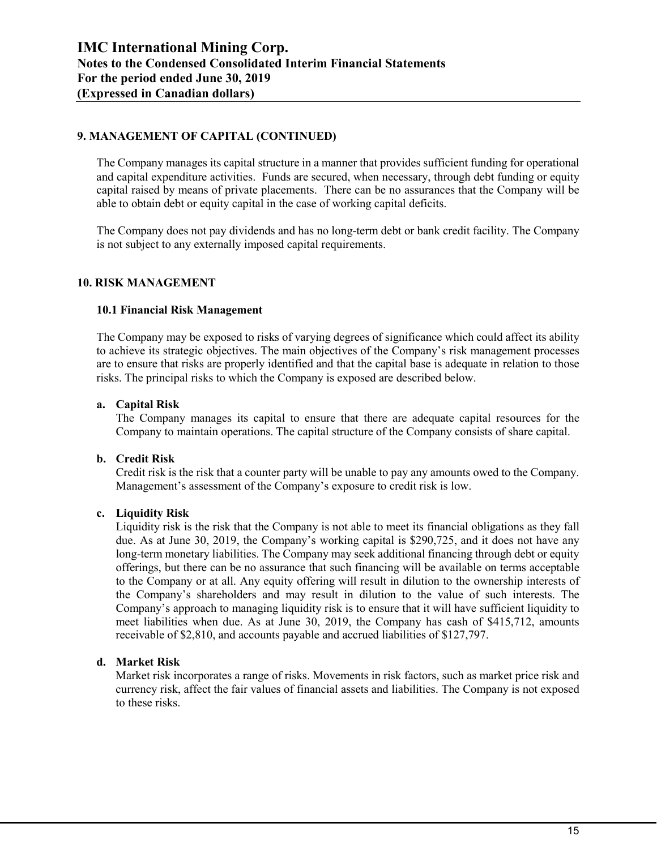## **9. MANAGEMENT OF CAPITAL (CONTINUED)**

The Company manages its capital structure in a manner that provides sufficient funding for operational and capital expenditure activities. Funds are secured, when necessary, through debt funding or equity capital raised by means of private placements. There can be no assurances that the Company will be able to obtain debt or equity capital in the case of working capital deficits.

The Company does not pay dividends and has no long-term debt or bank credit facility. The Company is not subject to any externally imposed capital requirements.

#### **10. RISK MANAGEMENT**

#### **10.1 Financial Risk Management**

The Company may be exposed to risks of varying degrees of significance which could affect its ability to achieve its strategic objectives. The main objectives of the Company's risk management processes are to ensure that risks are properly identified and that the capital base is adequate in relation to those risks. The principal risks to which the Company is exposed are described below.

#### **a. Capital Risk**

The Company manages its capital to ensure that there are adequate capital resources for the Company to maintain operations. The capital structure of the Company consists of share capital.

#### **b. Credit Risk**

Credit risk is the risk that a counter party will be unable to pay any amounts owed to the Company. Management's assessment of the Company's exposure to credit risk is low.

#### **c. Liquidity Risk**

Liquidity risk is the risk that the Company is not able to meet its financial obligations as they fall due. As at June 30, 2019, the Company's working capital is \$290,725, and it does not have any long-term monetary liabilities. The Company may seek additional financing through debt or equity offerings, but there can be no assurance that such financing will be available on terms acceptable to the Company or at all. Any equity offering will result in dilution to the ownership interests of the Company's shareholders and may result in dilution to the value of such interests. The Company's approach to managing liquidity risk is to ensure that it will have sufficient liquidity to meet liabilities when due. As at June 30, 2019, the Company has cash of \$415,712, amounts receivable of \$2,810, and accounts payable and accrued liabilities of \$127,797.

#### **d. Market Risk**

Market risk incorporates a range of risks. Movements in risk factors, such as market price risk and currency risk, affect the fair values of financial assets and liabilities. The Company is not exposed to these risks.